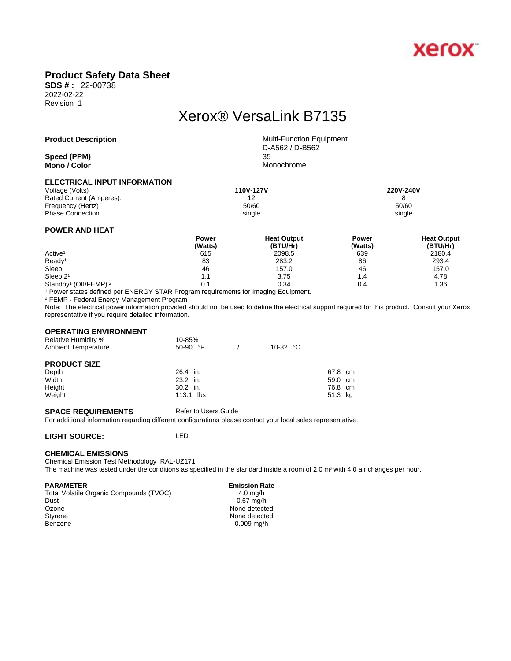

## **Product Safety Data Sheet**

**SDS # :** 22-00738 2022-02-22 Revision 1

# Xerox® VersaLink B7135

**Speed** (PPM) **Mono** / **Color** Monochrome

**Product Description** Multi-Function Equipment D-A562 / D-B562

### **ELECTRICAL INPUT INFORMATION**

| Voltage (Volts)          | 110V-127V | 220V-240V |
|--------------------------|-----------|-----------|
| Rated Current (Amperes): | ィっ        |           |
| Frequency (Hertz)        | 50/60     | 50/60     |
| <b>Phase Connection</b>  | single    | single    |
|                          |           |           |

### **POWER AND HEAT**

|                                              | Power   | <b>Heat Output</b> | Power   | <b>Heat Output</b> |  |
|----------------------------------------------|---------|--------------------|---------|--------------------|--|
|                                              | (Watts) | (BTU/Hr)           | (Watts) | (BTU/Hr)           |  |
| Active <sup>1</sup>                          | 615     | 2098.5             | 639     | 2180.4             |  |
| Ready <sup>1</sup>                           | 83      | 283.2              | 86      | 293.4              |  |
| Sleep <sup>1</sup>                           | 46      | 157.0              | 46      | 157.0              |  |
| Sleep $21$                                   | 1.1     | 3.75               | 1.4     | 4.78               |  |
| Standby <sup>1</sup> (Off/FEMP) <sup>2</sup> | 0.1     | 0.34               | 0.4     | 1.36               |  |

1 Power states defined per ENERGY STAR Program requirements for Imaging Equipment.

2 FEMP - Federal Energy Management Program

Note: The electrical power information provided should not be used to define the electrical support required for this product. Consult your Xerox representative if you require detailed information.

#### **OPERATING ENVIRONMENT**

| <b>Relative Humidity %</b> | 10-85%     |                   |         |  |
|----------------------------|------------|-------------------|---------|--|
| <b>Ambient Temperature</b> | $50-90$ °F | 10-32 $\degree$ C |         |  |
| <b>PRODUCT SIZE</b>        |            |                   |         |  |
|                            |            |                   |         |  |
| Depth                      | 26.4 in.   |                   | 67.8 cm |  |
| Width                      | $23.2$ in. |                   | 59.0 cm |  |
| Height                     | $30.2$ in. |                   | 76.8 cm |  |
| Weight                     | 113.1 lbs  |                   | 51.3 kg |  |

#### **SPACE REQUIREMENTS** Refer to Users Guide

For additional information regarding different configurations please contact your local sales representative.

#### **LIGHT SOURCE:** LED

#### **CHEMICAL EMISSIONS**

Chemical Emission Test Methodology RAL-UZ171 The machine was tested under the conditions as specified in the standard inside a room of 2.0 m<sup>3</sup> with 4.0 air changes per hour.

#### **PARAMETER** Emission Rate

Total Volatile Organic Compounds (TVOC) 4.0 mg/h<br>Dust 6.67 mg/h Ozone None detected<br>
Styrene None detected<br>
None detected Benzene 0.009 mg/h

 $0.67$  mg/h None detected